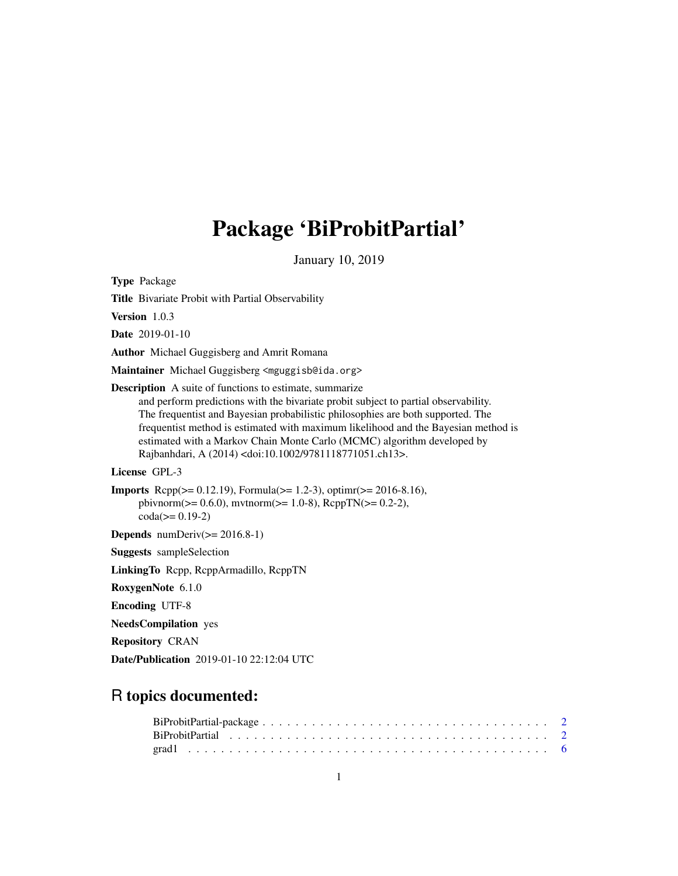## Package 'BiProbitPartial'

January 10, 2019

<span id="page-0-0"></span>Type Package

Title Bivariate Probit with Partial Observability

Version 1.0.3

Date 2019-01-10

Author Michael Guggisberg and Amrit Romana

Maintainer Michael Guggisberg <mguggisb@ida.org>

Description A suite of functions to estimate, summarize

and perform predictions with the bivariate probit subject to partial observability. The frequentist and Bayesian probabilistic philosophies are both supported. The frequentist method is estimated with maximum likelihood and the Bayesian method is estimated with a Markov Chain Monte Carlo (MCMC) algorithm developed by Rajbanhdari, A (2014) <doi:10.1002/9781118771051.ch13>.

License GPL-3

```
Imports Rcpp(>= 0.12.19), Formula(>= 1.2-3), optimr(>= 2016-8.16),
     pbivnorm(>= 0.6.0), mvtnorm(>= 1.0-8), RcppTN(>= 0.2-2),
     \text{coda} (= 0.19-2)
```
**Depends** numDeriv( $>= 2016.8-1$ )

Suggests sampleSelection

LinkingTo Rcpp, RcppArmadillo, RcppTN

RoxygenNote 6.1.0

Encoding UTF-8

NeedsCompilation yes

Repository CRAN

Date/Publication 2019-01-10 22:12:04 UTC

## R topics documented: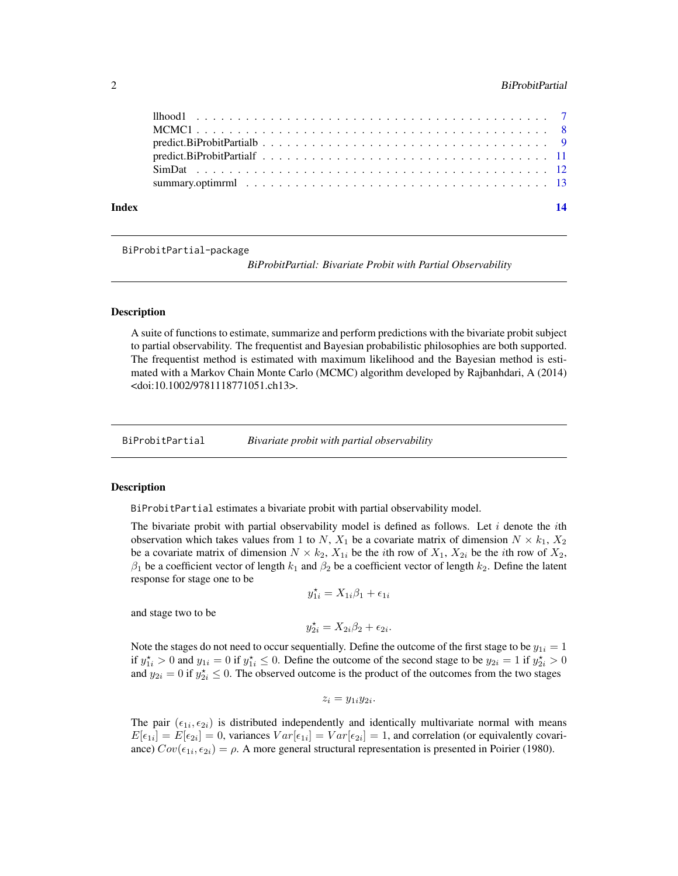## <span id="page-1-0"></span>2 **BiProbitPartial**

| Index |  |  |  |  |  |  |  |  |  |  |  |  |  |  |  | 14 |
|-------|--|--|--|--|--|--|--|--|--|--|--|--|--|--|--|----|
|       |  |  |  |  |  |  |  |  |  |  |  |  |  |  |  |    |
|       |  |  |  |  |  |  |  |  |  |  |  |  |  |  |  |    |
|       |  |  |  |  |  |  |  |  |  |  |  |  |  |  |  |    |
|       |  |  |  |  |  |  |  |  |  |  |  |  |  |  |  |    |
|       |  |  |  |  |  |  |  |  |  |  |  |  |  |  |  |    |
|       |  |  |  |  |  |  |  |  |  |  |  |  |  |  |  |    |
|       |  |  |  |  |  |  |  |  |  |  |  |  |  |  |  |    |

## BiProbitPartial-package

*BiProbitPartial: Bivariate Probit with Partial Observability*

### Description

A suite of functions to estimate, summarize and perform predictions with the bivariate probit subject to partial observability. The frequentist and Bayesian probabilistic philosophies are both supported. The frequentist method is estimated with maximum likelihood and the Bayesian method is estimated with a Markov Chain Monte Carlo (MCMC) algorithm developed by Rajbanhdari, A (2014) <doi:10.1002/9781118771051.ch13>.

BiProbitPartial *Bivariate probit with partial observability*

#### **Description**

BiProbitPartial estimates a bivariate probit with partial observability model.

The bivariate probit with partial observability model is defined as follows. Let  $i$  denote the *i*th observation which takes values from 1 to N,  $X_1$  be a covariate matrix of dimension  $N \times k_1$ ,  $X_2$ be a covariate matrix of dimension  $N \times k_2$ ,  $X_{1i}$  be the *i*th row of  $X_1$ ,  $X_{2i}$  be the *i*th row of  $X_2$ ,  $\beta_1$  be a coefficient vector of length  $k_1$  and  $\beta_2$  be a coefficient vector of length  $k_2$ . Define the latent response for stage one to be

$$
y_{1i}^{\star} = X_{1i}\beta_1 + \epsilon_{1i}
$$

and stage two to be

$$
y_{2i}^* = X_{2i}\beta_2 + \epsilon_{2i}.
$$

Note the stages do not need to occur sequentially. Define the outcome of the first stage to be  $y_{1i} = 1$ if  $y_{1i}^* > 0$  and  $y_{1i} = 0$  if  $y_{1i}^* \le 0$ . Define the outcome of the second stage to be  $y_{2i} = 1$  if  $y_{2i}^* > 0$ and  $y_{2i} = 0$  if  $y_{2i} \leq 0$ . The observed outcome is the product of the outcomes from the two stages

$$
z_i = y_{1i}y_{2i}.
$$

The pair  $(\epsilon_{1i}, \epsilon_{2i})$  is distributed independently and identically multivariate normal with means  $E[\epsilon_{1i}] = E[\epsilon_{2i}] = 0$ , variances  $Var[\epsilon_{1i}] = Var[\epsilon_{2i}] = 1$ , and correlation (or equivalently covariance)  $Cov(\epsilon_{1i}, \epsilon_{2i}) = \rho$ . A more general structural representation is presented in Poirier (1980).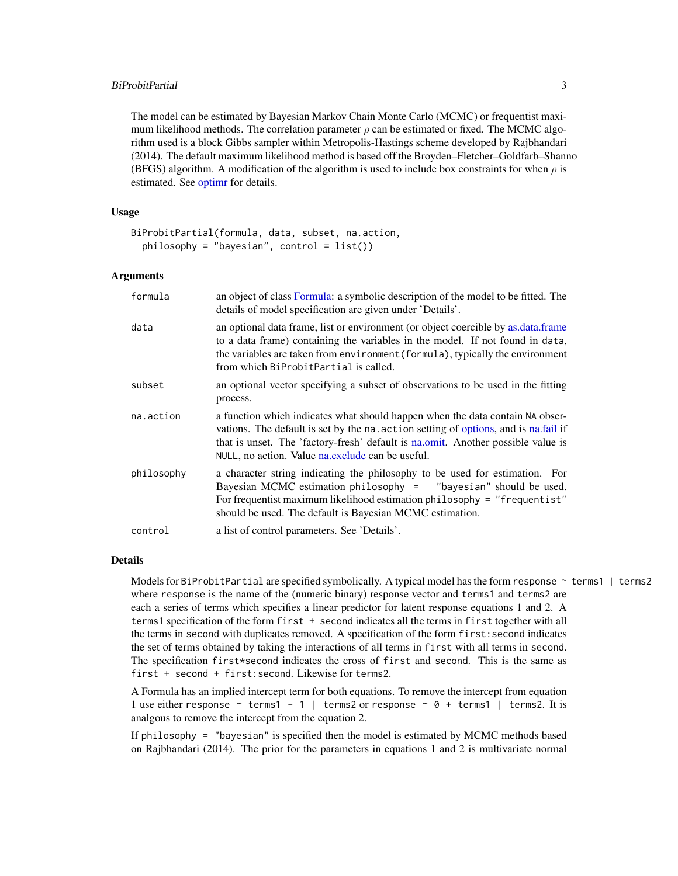## <span id="page-2-0"></span>BiProbitPartial 3

The model can be estimated by Bayesian Markov Chain Monte Carlo (MCMC) or frequentist maximum likelihood methods. The correlation parameter  $\rho$  can be estimated or fixed. The MCMC algorithm used is a block Gibbs sampler within Metropolis-Hastings scheme developed by Rajbhandari (2014). The default maximum likelihood method is based off the Broyden–Fletcher–Goldfarb–Shanno (BFGS) algorithm. A modification of the algorithm is used to include box constraints for when  $\rho$  is estimated. See [optimr](#page-0-0) for details.

## Usage

```
BiProbitPartial(formula, data, subset, na.action,
 philosophy = "bayesian", control = list()
```
## Arguments

| formula    | an object of class Formula: a symbolic description of the model to be fitted. The<br>details of model specification are given under 'Details'.                                                                                                                                                               |
|------------|--------------------------------------------------------------------------------------------------------------------------------------------------------------------------------------------------------------------------------------------------------------------------------------------------------------|
| data       | an optional data frame, list or environment (or object coercible by as data frame<br>to a data frame) containing the variables in the model. If not found in data,<br>the variables are taken from environment (formula), typically the environment<br>from which BiProbitPartial is called.                 |
| subset     | an optional vector specifying a subset of observations to be used in the fitting<br>process.                                                                                                                                                                                                                 |
| na.action  | a function which indicates what should happen when the data contain NA obser-<br>vations. The default is set by the na. action setting of options, and is na.fail if<br>that is unset. The 'factory-fresh' default is na.omit. Another possible value is<br>NULL, no action. Value na.exclude can be useful. |
| philosophy | a character string indicating the philosophy to be used for estimation. For<br>Bayesian MCMC estimation philosophy = $"$ bayesian" should be used.<br>For frequentist maximum likelihood estimation philosophy = "frequentist"<br>should be used. The default is Bayesian MCMC estimation.                   |
| control    | a list of control parameters. See 'Details'.                                                                                                                                                                                                                                                                 |

## Details

Models for BiProbitPartial are specified symbolically. A typical model has the form response ~ terms1 | terms2 where response is the name of the (numeric binary) response vector and terms1 and terms2 are each a series of terms which specifies a linear predictor for latent response equations 1 and 2. A terms1 specification of the form first + second indicates all the terms in first together with all the terms in second with duplicates removed. A specification of the form first:second indicates the set of terms obtained by taking the interactions of all terms in first with all terms in second. The specification first\*second indicates the cross of first and second. This is the same as first + second + first:second. Likewise for terms2.

A Formula has an implied intercept term for both equations. To remove the intercept from equation 1 use either response  $\sim$  terms1 - 1 | terms2 or response  $\sim$  0 + terms1 | terms2. It is analgous to remove the intercept from the equation 2.

If philosophy = "bayesian" is specified then the model is estimated by MCMC methods based on Rajbhandari (2014). The prior for the parameters in equations 1 and 2 is multivariate normal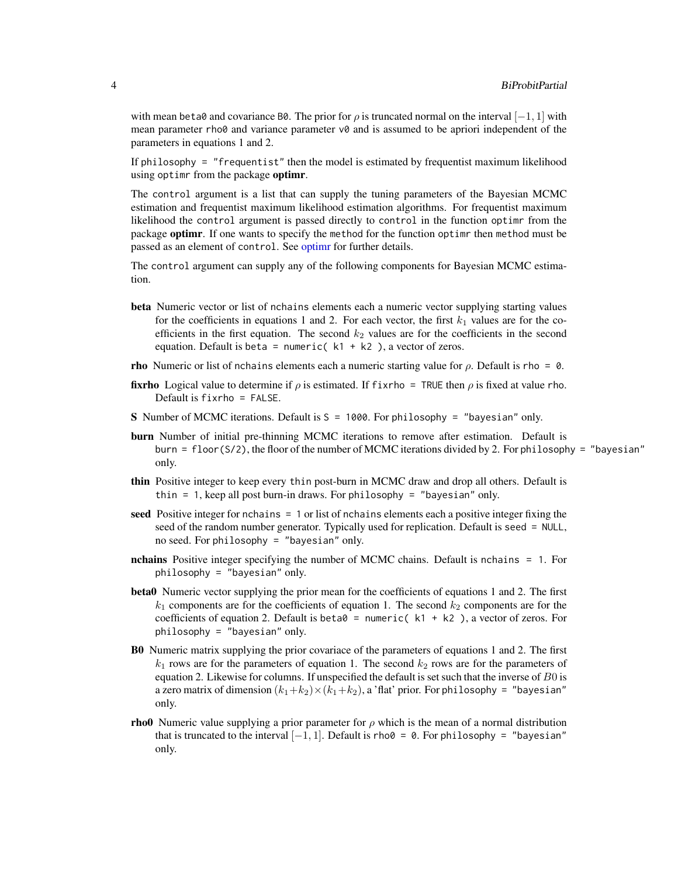with mean beta0 and covariance B0. The prior for  $\rho$  is truncated normal on the interval  $[-1, 1]$  with mean parameter rho $\theta$  and variance parameter  $\nu\theta$  and is assumed to be apriori independent of the parameters in equations 1 and 2.

If philosophy = "frequentist" then the model is estimated by frequentist maximum likelihood using optime from the package optime.

The control argument is a list that can supply the tuning parameters of the Bayesian MCMC estimation and frequentist maximum likelihood estimation algorithms. For frequentist maximum likelihood the control argument is passed directly to control in the function optimr from the package **optimr**. If one wants to specify the method for the function optimr then method must be passed as an element of control. See optime for further details.

The control argument can supply any of the following components for Bayesian MCMC estimation.

- beta Numeric vector or list of nchains elements each a numeric vector supplying starting values for the coefficients in equations 1 and 2. For each vector, the first  $k_1$  values are for the coefficients in the first equation. The second  $k_2$  values are for the coefficients in the second equation. Default is beta = numeric( $k1 + k2$ ), a vector of zeros.
- **rho** Numeric or list of nchains elements each a numeric starting value for  $\rho$ . Default is rho = 0.
- **fixrho** Logical value to determine if  $\rho$  is estimated. If fixrho = TRUE then  $\rho$  is fixed at value rho. Default is  $f$ ixrho = FALSE.
- S Number of MCMC iterations. Default is S = 1000. For philosophy = "bayesian" only.
- burn Number of initial pre-thinning MCMC iterations to remove after estimation. Default is burn = floor( $S/2$ ), the floor of the number of MCMC iterations divided by 2. For philosophy = "bayesian" only.
- thin Positive integer to keep every thin post-burn in MCMC draw and drop all others. Default is thin = 1, keep all post burn-in draws. For philosophy = "bayesian" only.
- seed Positive integer for nchains = 1 or list of nchains elements each a positive integer fixing the seed of the random number generator. Typically used for replication. Default is seed = NULL, no seed. For philosophy = "bayesian" only.
- nchains Positive integer specifying the number of MCMC chains. Default is nchains = 1. For philosophy = "bayesian" only.
- beta0 Numeric vector supplying the prior mean for the coefficients of equations 1 and 2. The first  $k_1$  components are for the coefficients of equation 1. The second  $k_2$  components are for the coefficients of equation 2. Default is beta $0 =$  numeric( k1 + k2), a vector of zeros. For philosophy = "bayesian" only.
- B0 Numeric matrix supplying the prior covariace of the parameters of equations 1 and 2. The first  $k_1$  rows are for the parameters of equation 1. The second  $k_2$  rows are for the parameters of equation 2. Likewise for columns. If unspecified the default is set such that the inverse of B0 is a zero matrix of dimension  $(k_1+k_2)\times(k_1+k_2)$ , a 'flat' prior. For philosophy = "bayesian" only.
- **rho0** Numeric value supplying a prior parameter for  $\rho$  which is the mean of a normal distribution that is truncated to the interval  $[-1, 1]$ . Default is rho $\theta = \emptyset$ . For philosophy = "bayesian" only.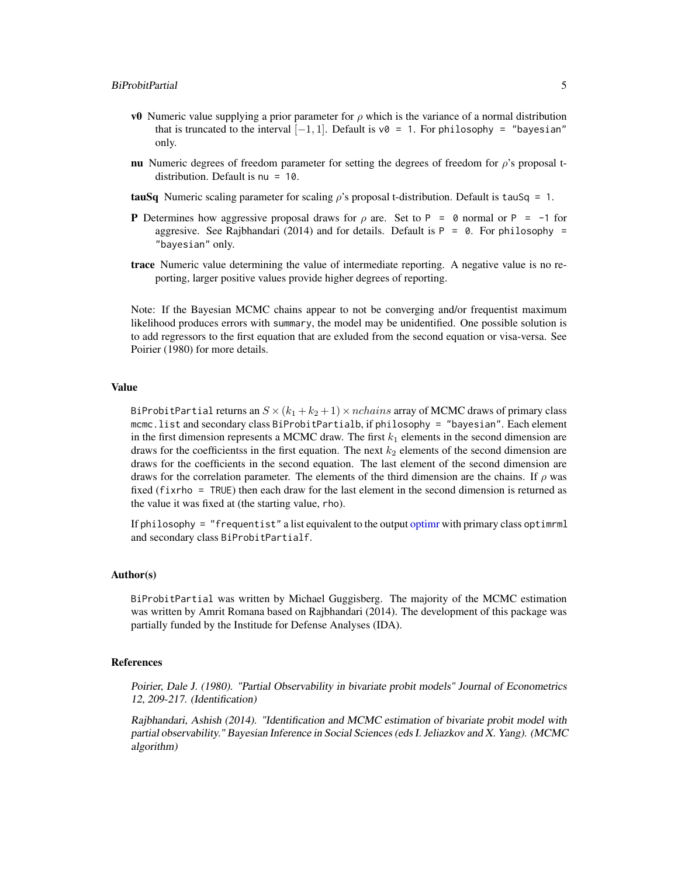- <span id="page-4-0"></span>**v0** Numeric value supplying a prior parameter for  $ρ$  which is the variance of a normal distribution that is truncated to the interval  $[-1, 1]$ . Default is v $\theta = 1$ . For philosophy = "bayesian" only.
- nu Numeric degrees of freedom parameter for setting the degrees of freedom for  $\rho$ 's proposal tdistribution. Default is nu = 10.
- **tauSq** Numeric scaling parameter for scaling  $\rho$ 's proposal t-distribution. Default is tauSq = 1.
- **P** Determines how aggressive proposal draws for  $\rho$  are. Set to P = 0 normal or P = -1 for aggresive. See Rajbhandari (2014) and for details. Default is  $P = 0$ . For philosophy = "bayesian" only.
- trace Numeric value determining the value of intermediate reporting. A negative value is no reporting, larger positive values provide higher degrees of reporting.

Note: If the Bayesian MCMC chains appear to not be converging and/or frequentist maximum likelihood produces errors with summary, the model may be unidentified. One possible solution is to add regressors to the first equation that are exluded from the second equation or visa-versa. See Poirier (1980) for more details.

#### Value

BiProbitPartial returns an  $S \times (k_1 + k_2 + 1) \times nchains$  array of MCMC draws of primary class mcmc.list and secondary class BiProbitPartialb, if philosophy = "bayesian". Each element in the first dimension represents a MCMC draw. The first  $k_1$  elements in the second dimension are draws for the coefficientss in the first equation. The next  $k_2$  elements of the second dimension are draws for the coefficients in the second equation. The last element of the second dimension are draws for the correlation parameter. The elements of the third dimension are the chains. If  $\rho$  was fixed (fixrho = TRUE) then each draw for the last element in the second dimension is returned as the value it was fixed at (the starting value, rho).

If philosophy = "frequentist" a list equivalent to the output [optimr](#page-0-0) with primary class optimrml and secondary class BiProbitPartialf.

#### Author(s)

BiProbitPartial was written by Michael Guggisberg. The majority of the MCMC estimation was written by Amrit Romana based on Rajbhandari (2014). The development of this package was partially funded by the Institude for Defense Analyses (IDA).

## References

Poirier, Dale J. (1980). "Partial Observability in bivariate probit models" Journal of Econometrics 12, 209-217. (Identification)

Rajbhandari, Ashish (2014). "Identification and MCMC estimation of bivariate probit model with partial observability." Bayesian Inference in Social Sciences (eds I. Jeliazkov and X. Yang). (MCMC algorithm)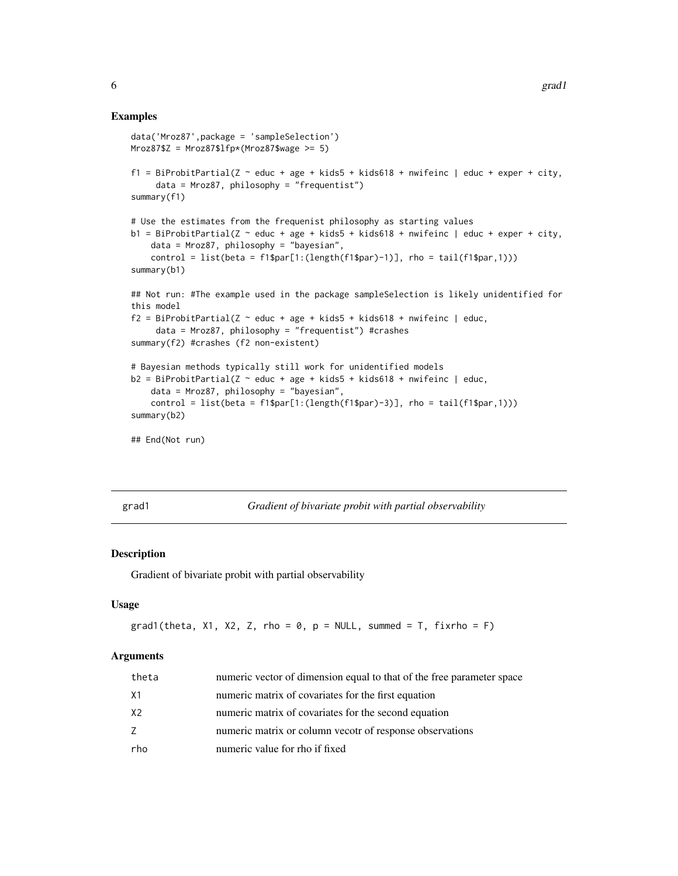## <span id="page-5-0"></span>Examples

```
data('Mroz87',package = 'sampleSelection')
Mroz87$Z = Mroz87$lfp*(Mroz87$wage >= 5)f1 = BiProbitPartial(Z \sim educ + age + kids5 + kids618 + nwifeinc | educ + exper + city,
     data = Mroz87, philosophy = "frequentist")
summary(f1)
# Use the estimates from the frequenist philosophy as starting values
b1 = BiProbability2 - educ + age + kids5 + kids618 + mwfeinc | educ + exper + city,data = Mroz87, philosophy = "bayesian",
    control = list(beta = f1$par[1:(length(f1$par)-1)], rho = tail(f1$par,1)))
summary(b1)
## Not run: #The example used in the package sampleSelection is likely unidentified for
this model
f2 = BiprobitPartial(Z \sim educ + age + kids5 + kids618 + nwifeinc | educ,data = Mroz87, philosophy = "frequentist") #crashes
summary(f2) #crashes (f2 non-existent)
# Bayesian methods typically still work for unidentified models
b2 = BiProbabilityPartial(Z \sim educ + age + kids5 + kids618 + nwifier | educ,data = Mroz87, philosophy = "bayesian",
    control = list(beta = f1$par[1:(length(f1$par)-3)], rho = tail(f1$par,1)))
summary(b2)
## End(Not run)
```
grad1 *Gradient of bivariate probit with partial observability*

## Description

Gradient of bivariate probit with partial observability

#### Usage

```
grad1(theta, X1, X2, Z, rho = 0, p = NULL, summed = T, fixrho = F)
```
#### Arguments

| theta | numeric vector of dimension equal to that of the free parameter space |
|-------|-----------------------------------------------------------------------|
| X1    | numeric matrix of covariates for the first equation                   |
| X2    | numeric matrix of covariates for the second equation                  |
| 7     | numeric matrix or column vecotr of response observations              |
| rho   | numeric value for rho if fixed                                        |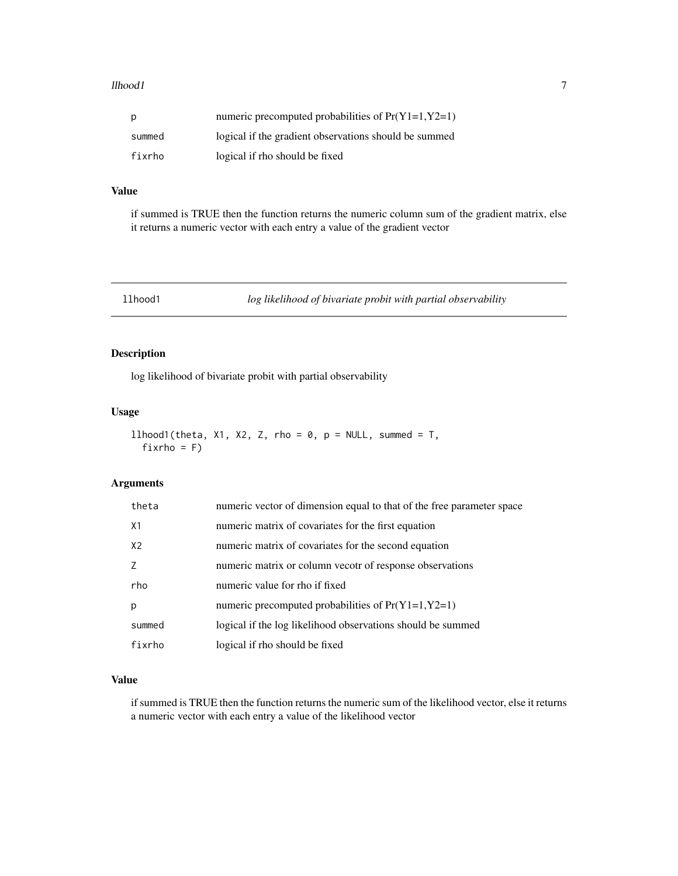#### <span id="page-6-0"></span>llhood1 7

| р      | numeric precomputed probabilities of $Pr(Y1=1, Y2=1)$ |
|--------|-------------------------------------------------------|
| summed | logical if the gradient observations should be summed |
| fixrho | logical if rho should be fixed                        |

## Value

if summed is TRUE then the function returns the numeric column sum of the gradient matrix, else it returns a numeric vector with each entry a value of the gradient vector

llhood1 *log likelihood of bivariate probit with partial observability*

## Description

log likelihood of bivariate probit with partial observability

## Usage

```
llhood1(theta, X1, X2, Z, rho = 0, p = NULL, summed = T,
 fixrho = F)
```
## Arguments

| theta          | numeric vector of dimension equal to that of the free parameter space |
|----------------|-----------------------------------------------------------------------|
| X1             | numeric matrix of covariates for the first equation                   |
| X <sub>2</sub> | numeric matrix of covariates for the second equation                  |
|                | numeric matrix or column vecotr of response observations              |
| rho            | numeric value for rho if fixed                                        |
| р              | numeric precomputed probabilities of $Pr(Y1=1, Y2=1)$                 |
| summed         | logical if the log likelihood observations should be summed           |
| fixrho         | logical if rho should be fixed                                        |

## Value

if summed is TRUE then the function returns the numeric sum of the likelihood vector, else it returns a numeric vector with each entry a value of the likelihood vector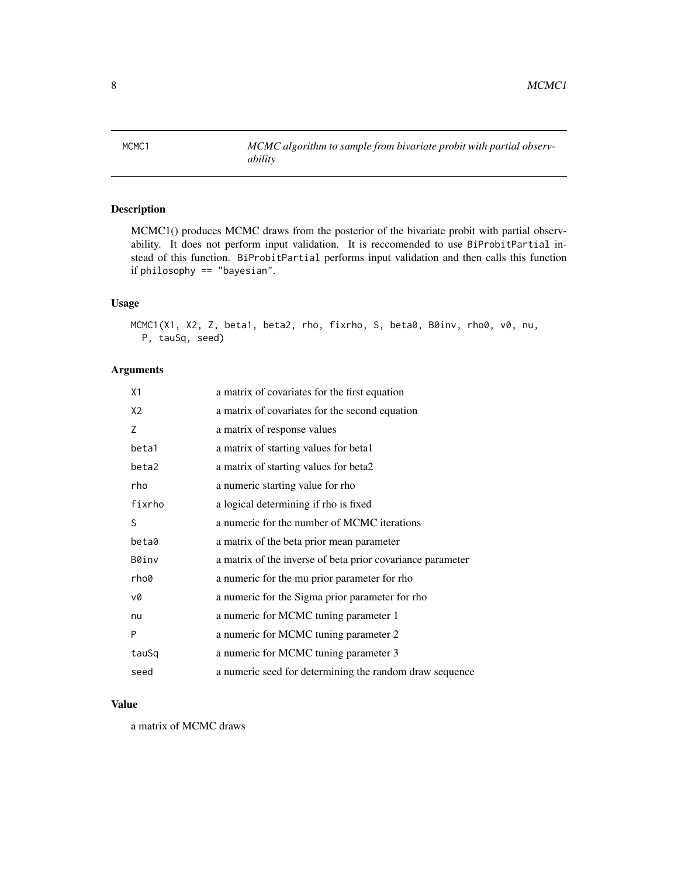<span id="page-7-0"></span>MCMC1 *MCMC algorithm to sample from bivariate probit with partial observability*

## Description

MCMC1() produces MCMC draws from the posterior of the bivariate probit with partial observability. It does not perform input validation. It is reccomended to use BiProbitPartial instead of this function. BiProbitPartial performs input validation and then calls this function if philosophy == "bayesian".

## Usage

```
MCMC1(X1, X2, Z, beta1, beta2, rho, fixrho, S, beta0, B0inv, rho0, v0, nu,
 P, tauSq, seed)
```
## Arguments

| X1             | a matrix of covariates for the first equation              |
|----------------|------------------------------------------------------------|
| X <sub>2</sub> | a matrix of covariates for the second equation             |
| 7              | a matrix of response values                                |
| beta1          | a matrix of starting values for beta1                      |
| beta2          | a matrix of starting values for beta2                      |
| rho            | a numeric starting value for rho                           |
| fixrho         | a logical determining if rho is fixed                      |
| S              | a numeric for the number of MCMC iterations                |
| beta0          | a matrix of the beta prior mean parameter                  |
| B0inv          | a matrix of the inverse of beta prior covariance parameter |
| rho0           | a numeric for the mu prior parameter for rho               |
| v0             | a numeric for the Sigma prior parameter for rho            |
| nu             | a numeric for MCMC tuning parameter 1                      |
| P              | a numeric for MCMC tuning parameter 2                      |
| tauSq          | a numeric for MCMC tuning parameter 3                      |
| seed           | a numeric seed for determining the random draw sequence    |

#### Value

a matrix of MCMC draws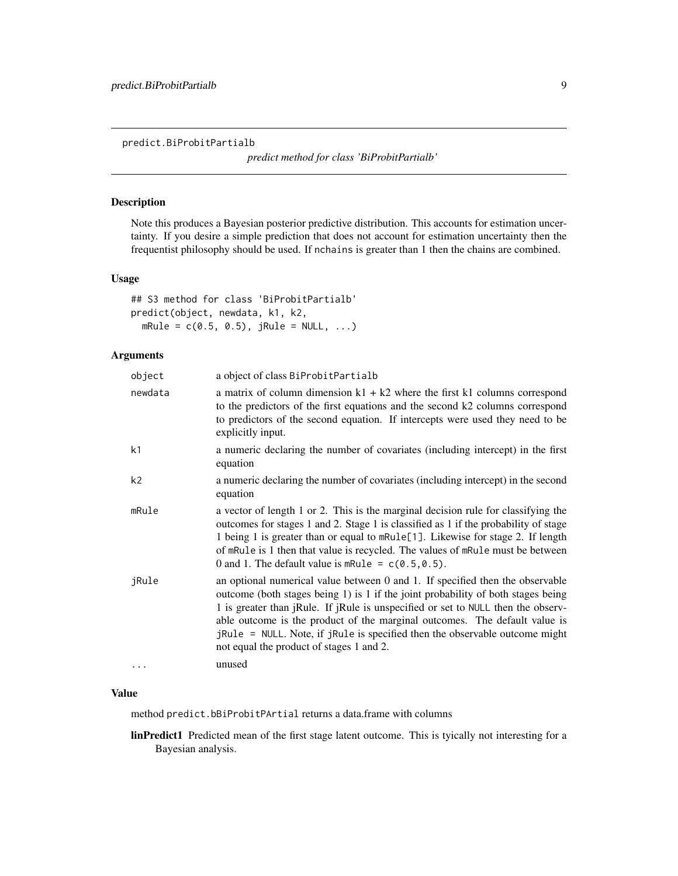<span id="page-8-0"></span>predict.BiProbitPartialb

*predict method for class 'BiProbitPartialb'*

## Description

Note this produces a Bayesian posterior predictive distribution. This accounts for estimation uncertainty. If you desire a simple prediction that does not account for estimation uncertainty then the frequentist philosophy should be used. If nchains is greater than 1 then the chains are combined.

## Usage

```
## S3 method for class 'BiProbitPartialb'
predict(object, newdata, k1, k2,
 mRule = c(0.5, 0.5), jRule = NULL, ...)
```
## Arguments

| object   | a object of class BiProbitPartialb                                                                                                                                                                                                                                                                                                                                                                                                                             |
|----------|----------------------------------------------------------------------------------------------------------------------------------------------------------------------------------------------------------------------------------------------------------------------------------------------------------------------------------------------------------------------------------------------------------------------------------------------------------------|
| newdata  | a matrix of column dimension $k1 + k2$ where the first k1 columns correspond<br>to the predictors of the first equations and the second k2 columns correspond<br>to predictors of the second equation. If intercepts were used they need to be<br>explicitly input.                                                                                                                                                                                            |
| k1       | a numeric declaring the number of covariates (including intercept) in the first<br>equation                                                                                                                                                                                                                                                                                                                                                                    |
| k2       | a numeric declaring the number of covariates (including intercept) in the second<br>equation                                                                                                                                                                                                                                                                                                                                                                   |
| mRule    | a vector of length 1 or 2. This is the marginal decision rule for classifying the<br>outcomes for stages 1 and 2. Stage 1 is classified as 1 if the probability of stage<br>1 being 1 is greater than or equal to mRule[1]. Likewise for stage 2. If length<br>of mRule is 1 then that value is recycled. The values of mRule must be between<br>0 and 1. The default value is mRule = $c(0.5, 0.5)$ .                                                         |
| jRule    | an optional numerical value between 0 and 1. If specified then the observable<br>outcome (both stages being 1) is 1 if the joint probability of both stages being<br>1 is greater than jRule. If jRule is unspecified or set to NULL then the observ-<br>able outcome is the product of the marginal outcomes. The default value is<br>jRule = NULL. Note, if jRule is specified then the observable outcome might<br>not equal the product of stages 1 and 2. |
| $\cdots$ | unused                                                                                                                                                                                                                                                                                                                                                                                                                                                         |

## Value

method predict.bBiProbitPArtial returns a data.frame with columns

linPredict1 Predicted mean of the first stage latent outcome. This is tyically not interesting for a Bayesian analysis.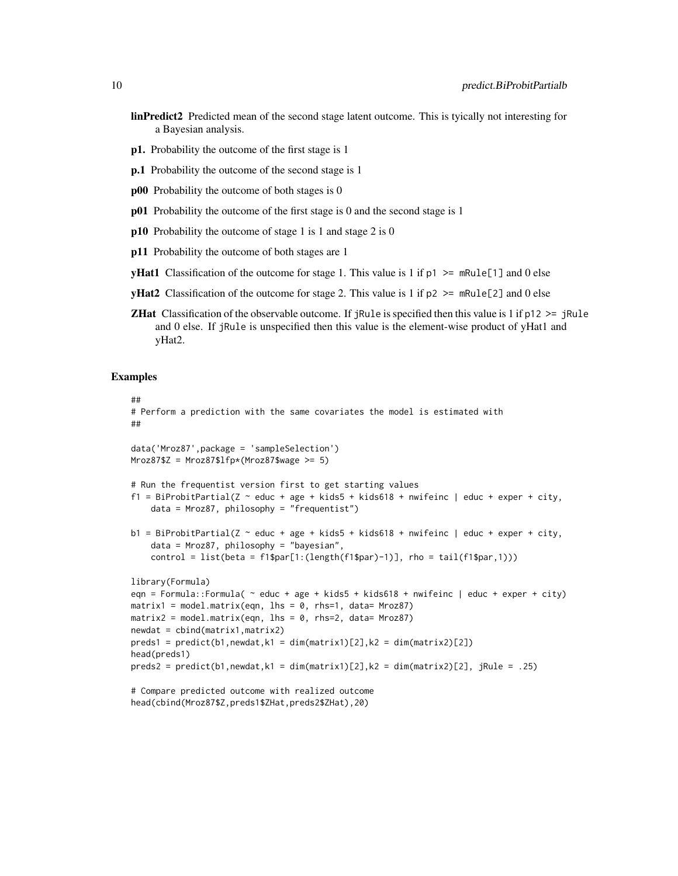- linPredict2 Predicted mean of the second stage latent outcome. This is tyically not interesting for a Bayesian analysis.
- p1. Probability the outcome of the first stage is 1
- p.1 Probability the outcome of the second stage is 1
- p00 Probability the outcome of both stages is 0
- p01 Probability the outcome of the first stage is 0 and the second stage is 1
- p10 Probability the outcome of stage 1 is 1 and stage 2 is 0
- p11 Probability the outcome of both stages are 1

head(cbind(Mroz87\$Z,preds1\$ZHat,preds2\$ZHat),20)

- **yHat1** Classification of the outcome for stage 1. This value is 1 if  $p1 \ge mRule[1]$  and 0 else
- **yHat2** Classification of the outcome for stage 2. This value is 1 if  $p2 \ge mRule[2]$  and 0 else
- **ZHat** Classification of the observable outcome. If jRule is specified then this value is 1 if  $p12 \geq$  jRule and 0 else. If jRule is unspecified then this value is the element-wise product of yHat1 and yHat2.

#### Examples

```
##
# Perform a prediction with the same covariates the model is estimated with
##
data('Mroz87',package = 'sampleSelection')
Mroz87$Z = Mroz87$1fp*(Mroz87$wage >= 5)# Run the frequentist version first to get starting values
f1 = BiProbitPartial(Z \sim educ + age + kids5 + kids618 + nwifeinc | educ + exper + city,
    data = Mroz87, philosophy = "frequentist")
b1 = BiProbitPartial(Z \sim educ + age + kids5 + kids618 + nwifeinc | educ + exper + city,
    data = Mroz87, philosophy = "bayesian",
    control = list(beta = f1$par[1:(length(f1$par)-1)], rho = tail(f1$par,1)))
library(Formula)
eqn = Formula::Formula( ~ educ + age + kids5 + kids618 + nwifeinc | educ + exper + city)
matrix1 = model_matrix(eqn, 1hs = 0, rhs=1, data= Mroz87)matrix2 = model.matrix(eqn, lhs = 0, rhs=2, data= Mroz87)
newdat = cbind(matrix1,matrix2)
preds1 = predict(b1, newdat, k1 = dim(maxrix1)[2], k2 = dim(maxrix2)[2])head(preds1)
preds2 = predict(b1,newdat,k1 = dim(matrix1)[2],k2 = dim(matrix2)[2], jRule = .25)
# Compare predicted outcome with realized outcome
```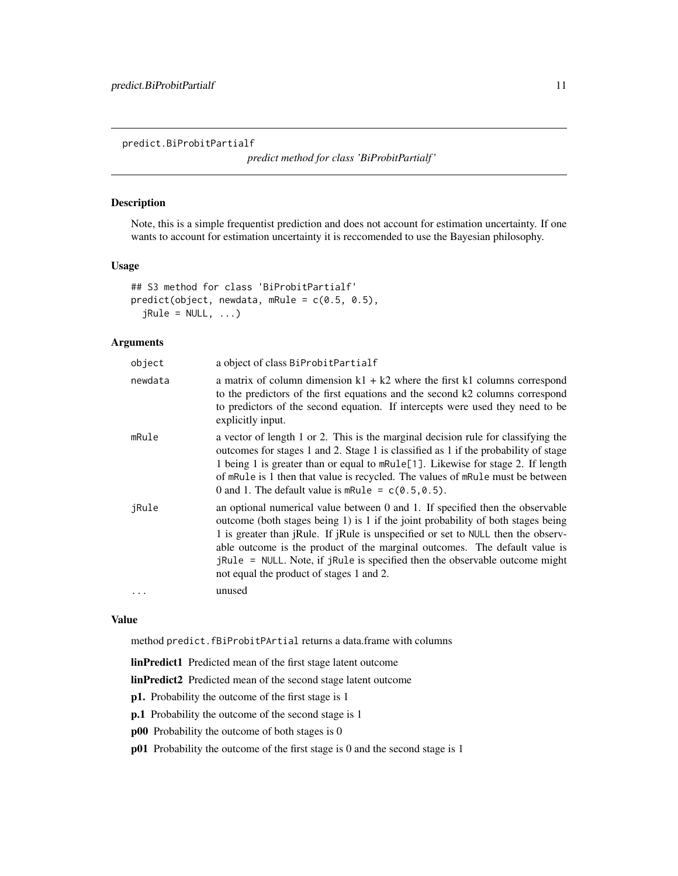<span id="page-10-0"></span>predict.BiProbitPartialf

*predict method for class 'BiProbitPartialf '*

## Description

Note, this is a simple frequentist prediction and does not account for estimation uncertainty. If one wants to account for estimation uncertainty it is reccomended to use the Bayesian philosophy.

#### Usage

```
## S3 method for class 'BiProbitPartialf'
predict(object, newdata, mRule = c(0.5, 0.5),
  jRule = NULL, ...)
```
## Arguments

| object  | a object of class BiProbitPartialf                                                                                                                                                                                                                                                                                                                                                                                                                                       |
|---------|--------------------------------------------------------------------------------------------------------------------------------------------------------------------------------------------------------------------------------------------------------------------------------------------------------------------------------------------------------------------------------------------------------------------------------------------------------------------------|
| newdata | a matrix of column dimension $k1 + k2$ where the first k1 columns correspond<br>to the predictors of the first equations and the second k2 columns correspond<br>to predictors of the second equation. If intercepts were used they need to be<br>explicitly input.                                                                                                                                                                                                      |
| mRule   | a vector of length 1 or 2. This is the marginal decision rule for classifying the<br>outcomes for stages 1 and 2. Stage 1 is classified as 1 if the probability of stage<br>1 being 1 is greater than or equal to mRule[1]. Likewise for stage 2. If length<br>of mRule is 1 then that value is recycled. The values of mRule must be between<br>0 and 1. The default value is mRule = $c(0.5, 0.5)$ .                                                                   |
| jRule   | an optional numerical value between 0 and 1. If specified then the observable<br>outcome (both stages being 1) is 1 if the joint probability of both stages being<br>1 is greater than jRule. If jRule is unspecified or set to NULL then the observ-<br>able outcome is the product of the marginal outcomes. The default value is<br>jRule = NULL. Note, if jRule is specified then the observable outcome might<br>not equal the product of stages 1 and 2.<br>unused |
|         |                                                                                                                                                                                                                                                                                                                                                                                                                                                                          |

## Value

method predict.fBiProbitPArtial returns a data.frame with columns

linPredict1 Predicted mean of the first stage latent outcome

linPredict2 Predicted mean of the second stage latent outcome

- p1. Probability the outcome of the first stage is 1
- p.1 Probability the outcome of the second stage is 1
- p00 Probability the outcome of both stages is 0
- p01 Probability the outcome of the first stage is 0 and the second stage is 1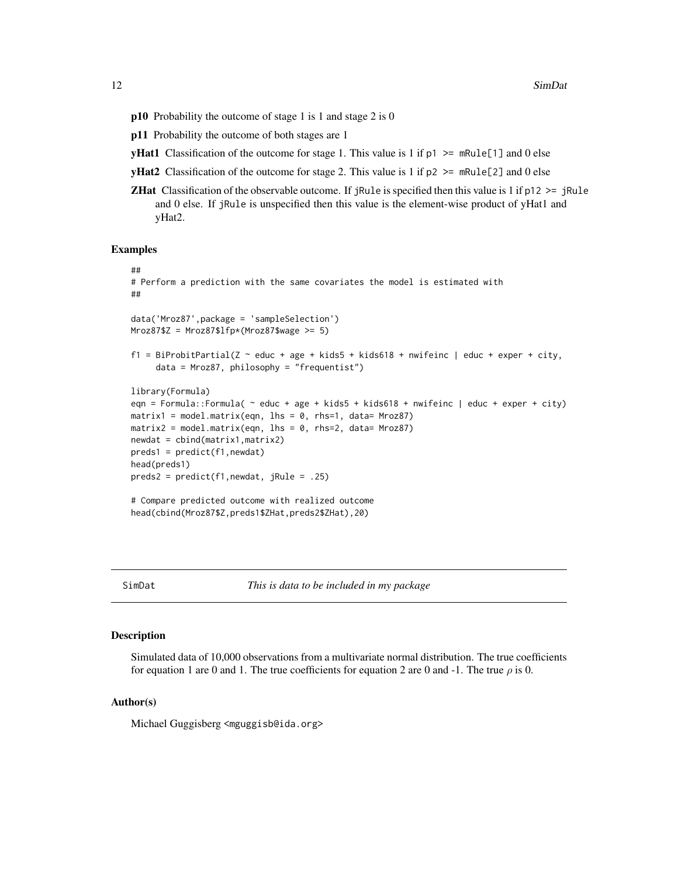- <span id="page-11-0"></span>p10 Probability the outcome of stage 1 is 1 and stage 2 is 0
- p11 Probability the outcome of both stages are 1
- **yHat1** Classification of the outcome for stage 1. This value is 1 if  $p1 \ge mRule[1]$  and 0 else
- **yHat2** Classification of the outcome for stage 2. This value is 1 if  $p2 \ge mRule[2]$  and 0 else
- **ZHat** Classification of the observable outcome. If jRule is specified then this value is 1 if  $p12 \geq$  jRule and 0 else. If jRule is unspecified then this value is the element-wise product of yHat1 and yHat2.

#### Examples

```
##
# Perform a prediction with the same covariates the model is estimated with
##
data('Mroz87',package = 'sampleSelection')
Mroz87$Z = Mroz87$lfp*(Mroz87$wage >= 5)
f1 = BiProbitPartial(Z \sim educ + age + kids5 + kids618 + nwifeinc | educ + exper + city,
     data = Mroz87, philosophy = "frequentist")
library(Formula)
eqn = Formula::Formula(\sim educ + age + kids5 + kids618 + nwifeinc | educ + exper + city)
matrix1 = model_matrix(eqn, 1hs = 0, rhs = 1, data = Mroz87)matrix2 = model.matrix(eqn, lhs = 0, rhs=2, data= Mroz87)
newdat = cbind(matrix1,matrix2)
preds1 = predict(f1,newdat)head(preds1)
preds2 = predict(f1,newdat, jRule = .25)
# Compare predicted outcome with realized outcome
head(cbind(Mroz87$Z,preds1$ZHat,preds2$ZHat),20)
```
SimDat *This is data to be included in my package*

#### Description

Simulated data of 10,000 observations from a multivariate normal distribution. The true coefficients for equation 1 are 0 and 1. The true coefficients for equation 2 are 0 and -1. The true  $\rho$  is 0.

#### Author(s)

Michael Guggisberg <mguggisb@ida.org>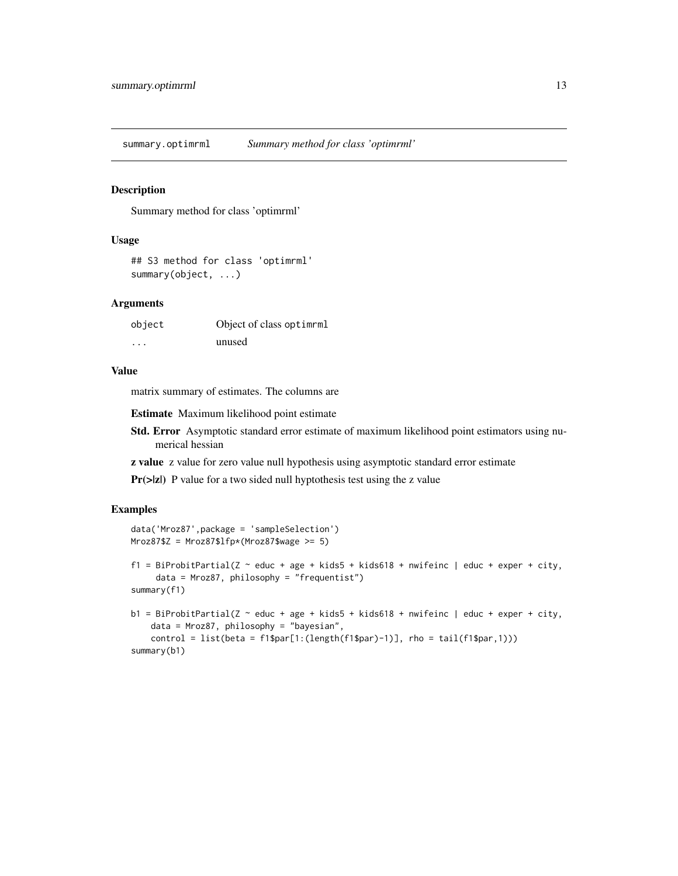<span id="page-12-0"></span>summary.optimrml *Summary method for class 'optimrml'*

## Description

Summary method for class 'optimrml'

## Usage

```
## S3 method for class 'optimrml'
summary(object, ...)
```
## Arguments

| object | Object of class optiment |
|--------|--------------------------|
| .      | unused                   |

## Value

matrix summary of estimates. The columns are

Estimate Maximum likelihood point estimate

- Std. Error Asymptotic standard error estimate of maximum likelihood point estimators using numerical hessian
- z value z value for zero value null hypothesis using asymptotic standard error estimate

Pr(>|z|) P value for a two sided null hyptothesis test using the z value

## Examples

```
data('Mroz87',package = 'sampleSelection')
Mroz87$Z = Mroz87$1fp*(Mroz87$wage >= 5)f1 = BiProbitPartial(Z \sim educ + age + kids5 + kids618 + nwifeinc | educ + exper + city,
     data = Mroz87, philosophy = "frequentist")
summary(f1)
b1 = BiProbability2 - educ + age + kids5 + kids618 + mwfeinc | educ + exper + city,data = Mroz87, philosophy = "bayesian",
    control = list(beta = f1$par[1:(length(f1$par)-1)], rho = tail(f1$par,1)))
summary(b1)
```